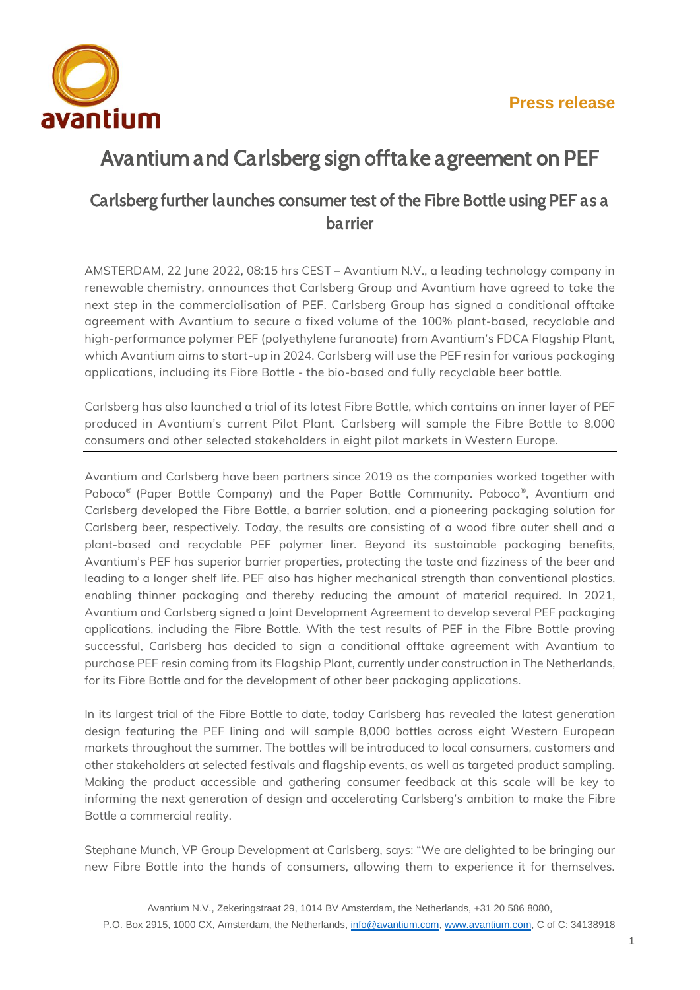

# *Avantium and Carlsberg sign offtake agreement on PEF*

## *Carlsberg further launches consumer test of the Fibre Bottle using PEF as a barrier*

**AMSTERDAM, 22 June 2022, 08:15 hrs CEST – Avantium N.V., a leading technology company in renewable chemistry, announces that Carlsberg Group and Avantium have agreed to take the next step in the commercialisation of PEF. Carlsberg Group has signed a conditional offtake agreement with Avantium to secure a fixed volume of the 100% plant-based, recyclable and high-performance polymer PEF (polyethylene furanoate) from Avantium's FDCA Flagship Plant, which Avantium aims to start-up in 2024. Carlsberg will use the PEF resin for various packaging applications, including its Fibre Bottle - the bio-based and fully recyclable beer bottle.**

**Carlsberg has also launched a trial of its latest Fibre Bottle, which contains an inner layer of PEF produced in Avantium's current Pilot Plant. Carlsberg will sample the Fibre Bottle to 8,000 consumers and other selected stakeholders in eight pilot markets in Western Europe.**

Avantium and Carlsberg have been partners since 2019 as the companies worked together with Paboco® (Paper Bottle Company) and the Paper Bottle Community. Paboco®, Avantium and Carlsberg developed the Fibre Bottle, a barrier solution, and a pioneering packaging solution for Carlsberg beer, respectively. Today, the results are consisting of a wood fibre outer shell and a plant-based and recyclable PEF polymer liner. Beyond its sustainable packaging benefits, Avantium's PEF has superior barrier properties, protecting the taste and fizziness of the beer and leading to a longer shelf life. PEF also has higher mechanical strength than conventional plastics, enabling thinner packaging and thereby reducing the amount of material required. In 2021, Avantium and Carlsberg signed a Joint Development Agreement to develop several PEF packaging applications, including the Fibre Bottle. With the test results of PEF in the Fibre Bottle proving successful, Carlsberg has decided to sign a conditional offtake agreement with Avantium to purchase PEF resin coming from its Flagship Plant, currently under construction in The Netherlands, for its Fibre Bottle and for the development of other beer packaging applications.

In its largest trial of the Fibre Bottle to date, today Carlsberg has revealed the latest generation design featuring the PEF lining and will sample 8,000 bottles across eight Western European markets throughout the summer. The bottles will be introduced to local consumers, customers and other stakeholders at selected festivals and flagship events, as well as targeted product sampling. Making the product accessible and gathering consumer feedback at this scale will be key to informing the next generation of design and accelerating Carlsberg's ambition to make the Fibre Bottle a commercial reality.

Stephane Munch, VP Group Development at Carlsberg, says: "We are delighted to be bringing our new Fibre Bottle into the hands of consumers, allowing them to experience it for themselves.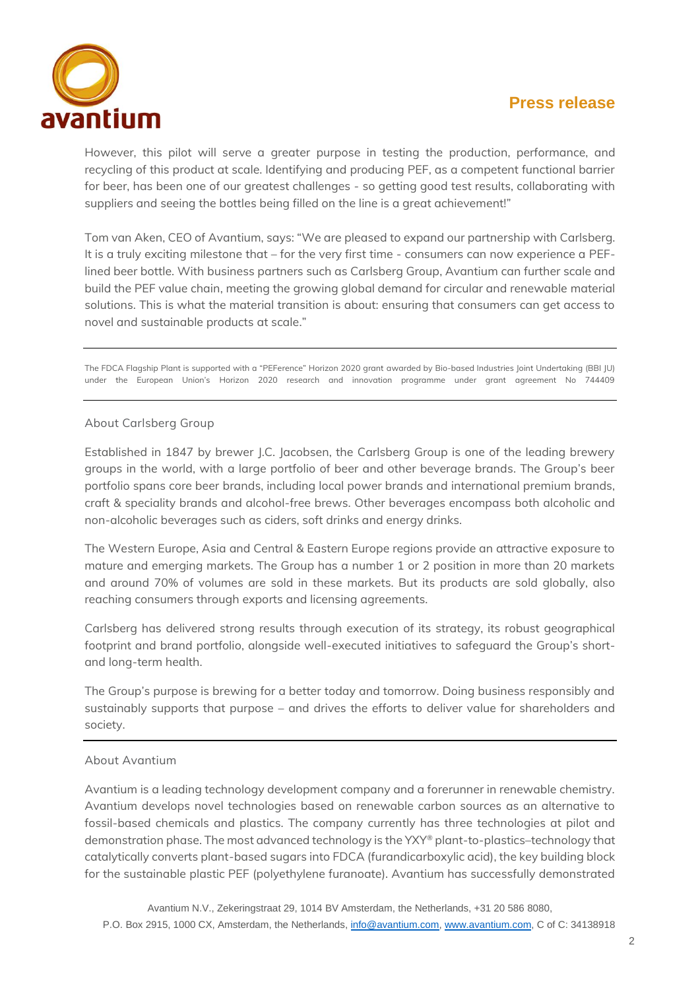## **Press release**



However, this pilot will serve a greater purpose in testing the production, performance, and recycling of this product at scale. Identifying and producing PEF, as a competent functional barrier for beer, has been one of our greatest challenges - so getting good test results, collaborating with suppliers and seeing the bottles being filled on the line is a great achievement!"

Tom van Aken, CEO of Avantium, says: "We are pleased to expand our partnership with Carlsberg. It is a truly exciting milestone that – for the very first time - consumers can now experience a PEFlined beer bottle. With business partners such as Carlsberg Group, Avantium can further scale and build the PEF value chain, meeting the growing global demand for circular and renewable material solutions. This is what the material transition is about: ensuring that consumers can get access to novel and sustainable products at scale."

The FDCA Flagship Plant is supported with a "PEFerence" Horizon 2020 grant awarded by Bio-based Industries Joint Undertaking (BBI JU) under the European Union's Horizon 2020 research and innovation programme under grant agreement No 744409

#### **About Carlsberg Group**

Established in 1847 by brewer J.C. Jacobsen, the Carlsberg Group is one of the leading brewery groups in the world, with a large portfolio of beer and other beverage brands. The Group's beer portfolio spans core beer brands, including local power brands and international premium brands, craft & speciality brands and alcohol-free brews. Other beverages encompass both alcoholic and non-alcoholic beverages such as ciders, soft drinks and energy drinks.

The Western Europe, Asia and Central & Eastern Europe regions provide an attractive exposure to mature and emerging markets. The Group has a number 1 or 2 position in more than 20 markets and around 70% of volumes are sold in these markets. But its products are sold globally, also reaching consumers through exports and licensing agreements.

Carlsberg has delivered strong results through execution of its strategy, its robust geographical footprint and brand portfolio, alongside well-executed initiatives to safeguard the Group's shortand long-term health.

The Group's purpose is brewing for a better today and tomorrow. Doing business responsibly and sustainably supports that purpose – and drives the efforts to deliver value for shareholders and society.

#### **About Avantium**

Avantium is a leading technology development company and a forerunner in renewable chemistry. Avantium develops novel technologies based on renewable carbon sources as an alternative to fossil-based chemicals and plastics. The company currently has three technologies at pilot and demonstration phase. The most advanced technology is the YXY® plant-to-plastics–technology that catalytically converts plant-based sugars into FDCA (furandicarboxylic acid), the key building block for the sustainable plastic PEF (polyethylene furanoate). Avantium has successfully demonstrated